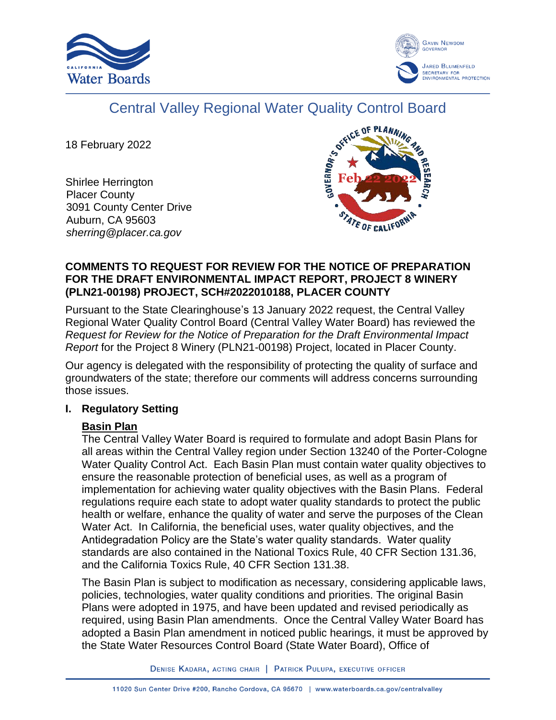



# Central Valley Regional Water Quality Control Board

18 February 2022

Shirlee Herrington Placer County 3091 County Center Drive Auburn, CA 95603 *sherring@placer.ca.gov*



## **COMMENTS TO REQUEST FOR REVIEW FOR THE NOTICE OF PREPARATION FOR THE DRAFT ENVIRONMENTAL IMPACT REPORT, PROJECT 8 WINERY (PLN21-00198) PROJECT, SCH#2022010188, PLACER COUNTY**

Pursuant to the State Clearinghouse's 13 January 2022 request, the Central Valley Regional Water Quality Control Board (Central Valley Water Board) has reviewed the *Request for Review for the Notice of Preparation for the Draft Environmental Impact Report* for the Project 8 Winery (PLN21-00198) Project, located in Placer County.

Our agency is delegated with the responsibility of protecting the quality of surface and groundwaters of the state; therefore our comments will address concerns surrounding those issues.

## **I. Regulatory Setting**

# **Basin Plan**

The Central Valley Water Board is required to formulate and adopt Basin Plans for all areas within the Central Valley region under Section 13240 of the Porter-Cologne Water Quality Control Act. Each Basin Plan must contain water quality objectives to ensure the reasonable protection of beneficial uses, as well as a program of implementation for achieving water quality objectives with the Basin Plans. Federal regulations require each state to adopt water quality standards to protect the public health or welfare, enhance the quality of water and serve the purposes of the Clean Water Act. In California, the beneficial uses, water quality objectives, and the Antidegradation Policy are the State's water quality standards. Water quality standards are also contained in the National Toxics Rule, 40 CFR Section 131.36, and the California Toxics Rule, 40 CFR Section 131.38.

The Basin Plan is subject to modification as necessary, considering applicable laws, policies, technologies, water quality conditions and priorities. The original Basin Plans were adopted in 1975, and have been updated and revised periodically as required, using Basin Plan amendments. Once the Central Valley Water Board has adopted a Basin Plan amendment in noticed public hearings, it must be approved by the State Water Resources Control Board (State Water Board), Office of

DENISE KADARA, ACTING CHAIR | PATRICK PULUPA, EXECUTIVE OFFICER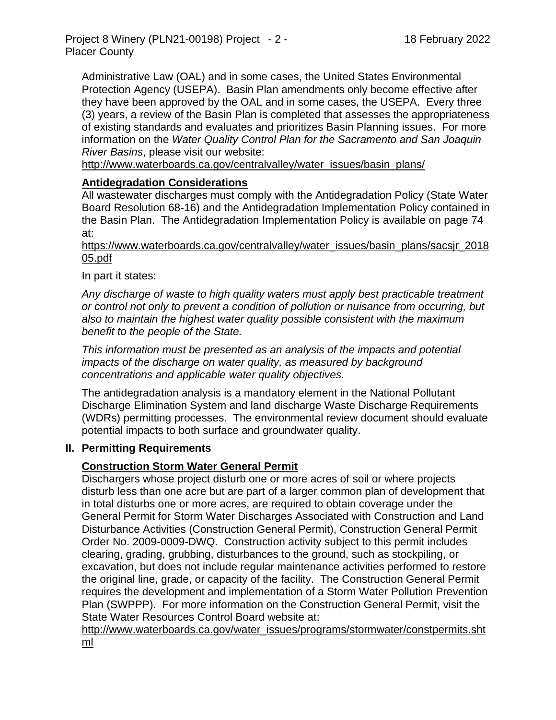Administrative Law (OAL) and in some cases, the United States Environmental Protection Agency (USEPA). Basin Plan amendments only become effective after they have been approved by the OAL and in some cases, the USEPA. Every three (3) years, a review of the Basin Plan is completed that assesses the appropriateness of existing standards and evaluates and prioritizes Basin Planning issues. For more information on the *Water Quality Control Plan for the Sacramento and San Joaquin River Basins*, please visit our website:

[http://www.waterboards.ca.gov/centralvalley/water\\_issues/basin\\_plans/](http://www.waterboards.ca.gov/centralvalley/water_issues/basin_plans/)

## **Antidegradation Considerations**

All wastewater discharges must comply with the Antidegradation Policy (State Water Board Resolution 68-16) and the Antidegradation Implementation Policy contained in the Basin Plan. The Antidegradation Implementation Policy is available on page 74 at:

https://www.waterboards.ca.gov/centralvalley/water\_issues/basin\_plans/sacsjr\_2018 05.pdf

In part it states:

*Any discharge of waste to high quality waters must apply best practicable treatment or control not only to prevent a condition of pollution or nuisance from occurring, but also to maintain the highest water quality possible consistent with the maximum benefit to the people of the State.*

*This information must be presented as an analysis of the impacts and potential impacts of the discharge on water quality, as measured by background concentrations and applicable water quality objectives.*

The antidegradation analysis is a mandatory element in the National Pollutant Discharge Elimination System and land discharge Waste Discharge Requirements (WDRs) permitting processes. The environmental review document should evaluate potential impacts to both surface and groundwater quality.

#### **II. Permitting Requirements**

#### **Construction Storm Water General Permit**

Dischargers whose project disturb one or more acres of soil or where projects disturb less than one acre but are part of a larger common plan of development that in total disturbs one or more acres, are required to obtain coverage under the General Permit for Storm Water Discharges Associated with Construction and Land Disturbance Activities (Construction General Permit), Construction General Permit Order No. 2009-0009-DWQ. Construction activity subject to this permit includes clearing, grading, grubbing, disturbances to the ground, such as stockpiling, or excavation, but does not include regular maintenance activities performed to restore the original line, grade, or capacity of the facility. The Construction General Permit requires the development and implementation of a Storm Water Pollution Prevention Plan (SWPPP). For more information on the Construction General Permit, visit the State Water Resources Control Board website at:

[http://www.waterboards.ca.gov/water\\_issues/programs/stormwater/constpermits.sht](http://www.waterboards.ca.gov/water_issues/programs/stormwater/constpermits.shtml) [ml](http://www.waterboards.ca.gov/water_issues/programs/stormwater/constpermits.shtml)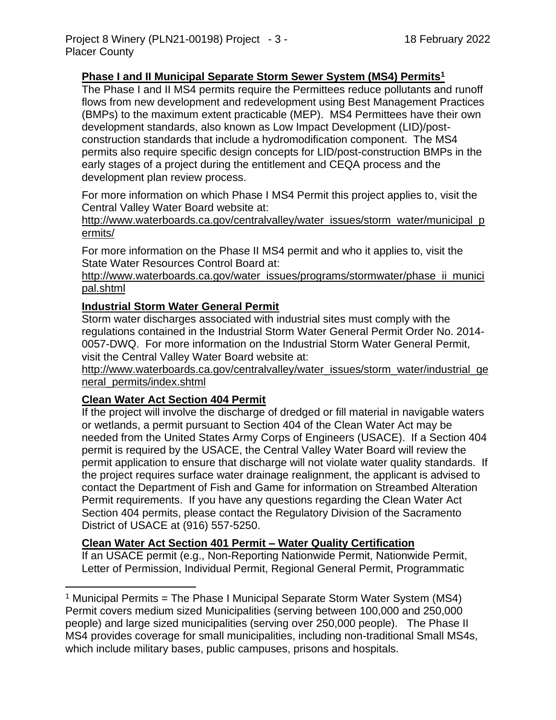## **Phase I and II Municipal Separate Storm Sewer System (MS4) Permits<sup>1</sup>**

The Phase I and II MS4 permits require the Permittees reduce pollutants and runoff flows from new development and redevelopment using Best Management Practices (BMPs) to the maximum extent practicable (MEP). MS4 Permittees have their own development standards, also known as Low Impact Development (LID)/postconstruction standards that include a hydromodification component. The MS4 permits also require specific design concepts for LID/post-construction BMPs in the early stages of a project during the entitlement and CEQA process and the development plan review process.

For more information on which Phase I MS4 Permit this project applies to, visit the Central Valley Water Board website at:

http://www.waterboards.ca.gov/centralvalley/water\_issues/storm\_water/municipal\_p ermits/

For more information on the Phase II MS4 permit and who it applies to, visit the State Water Resources Control Board at:

http://www.waterboards.ca.gov/water\_issues/programs/stormwater/phase\_ii\_munici pal.shtml

#### **Industrial Storm Water General Permit**

Storm water discharges associated with industrial sites must comply with the regulations contained in the Industrial Storm Water General Permit Order No. 2014- 0057-DWQ. For more information on the Industrial Storm Water General Permit, visit the Central Valley Water Board website at:

http://www.waterboards.ca.gov/centralvalley/water\_issues/storm\_water/industrial\_ge neral\_permits/index.shtml

#### **Clean Water Act Section 404 Permit**

If the project will involve the discharge of dredged or fill material in navigable waters or wetlands, a permit pursuant to Section 404 of the Clean Water Act may be needed from the United States Army Corps of Engineers (USACE). If a Section 404 permit is required by the USACE, the Central Valley Water Board will review the permit application to ensure that discharge will not violate water quality standards. If the project requires surface water drainage realignment, the applicant is advised to contact the Department of Fish and Game for information on Streambed Alteration Permit requirements. If you have any questions regarding the Clean Water Act Section 404 permits, please contact the Regulatory Division of the Sacramento District of USACE at (916) 557-5250.

#### **Clean Water Act Section 401 Permit – Water Quality Certification**

If an USACE permit (e.g., Non-Reporting Nationwide Permit, Nationwide Permit, Letter of Permission, Individual Permit, Regional General Permit, Programmatic

<sup>&</sup>lt;sup>1</sup> Municipal Permits = The Phase I Municipal Separate Storm Water System (MS4) Permit covers medium sized Municipalities (serving between 100,000 and 250,000 people) and large sized municipalities (serving over 250,000 people). The Phase II MS4 provides coverage for small municipalities, including non-traditional Small MS4s, which include military bases, public campuses, prisons and hospitals.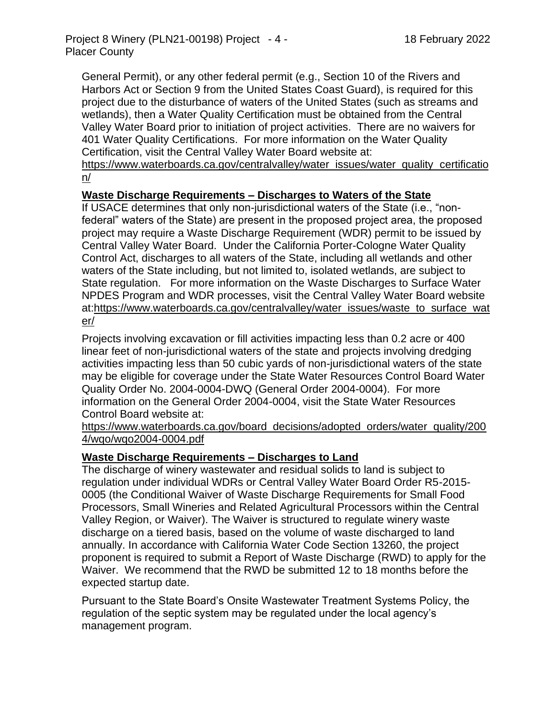General Permit), or any other federal permit (e.g., Section 10 of the Rivers and Harbors Act or Section 9 from the United States Coast Guard), is required for this project due to the disturbance of waters of the United States (such as streams and wetlands), then a Water Quality Certification must be obtained from the Central Valley Water Board prior to initiation of project activities. There are no waivers for 401 Water Quality Certifications. For more information on the Water Quality Certification, visit the Central Valley Water Board website at:

https://www.waterboards.ca.gov/centralvalley/water\_issues/water\_quality\_certificatio n/

## **Waste Discharge Requirements – Discharges to Waters of the State**

If USACE determines that only non-jurisdictional waters of the State (i.e., "nonfederal" waters of the State) are present in the proposed project area, the proposed project may require a Waste Discharge Requirement (WDR) permit to be issued by Central Valley Water Board. Under the California Porter-Cologne Water Quality Control Act, discharges to all waters of the State, including all wetlands and other waters of the State including, but not limited to, isolated wetlands, are subject to State regulation. For more information on the Waste Discharges to Surface Water NPDES Program and WDR processes, visit the Central Valley Water Board website at:https://www.waterboards.ca.gov/centralvalley/water\_issues/waste\_to\_surface\_wat er/

Projects involving excavation or fill activities impacting less than 0.2 acre or 400 linear feet of non-jurisdictional waters of the state and projects involving dredging activities impacting less than 50 cubic yards of non-jurisdictional waters of the state may be eligible for coverage under the State Water Resources Control Board Water Quality Order No. 2004-0004-DWQ (General Order 2004-0004). For more information on the General Order 2004-0004, visit the State Water Resources Control Board website at:

https://www.waterboards.ca.gov/board\_decisions/adopted\_orders/water\_quality/200 4/wqo/wqo2004-0004.pdf

#### **Waste Discharge Requirements – Discharges to Land**

The discharge of winery wastewater and residual solids to land is subject to regulation under individual WDRs or Central Valley Water Board Order R5-2015- 0005 (the Conditional Waiver of Waste Discharge Requirements for Small Food Processors, Small Wineries and Related Agricultural Processors within the Central Valley Region, or Waiver). The Waiver is structured to regulate winery waste discharge on a tiered basis, based on the volume of waste discharged to land annually. In accordance with California Water Code Section 13260, the project proponent is required to submit a Report of Waste Discharge (RWD) to apply for the Waiver. We recommend that the RWD be submitted 12 to 18 months before the expected startup date.

Pursuant to the State Board's Onsite Wastewater Treatment Systems Policy, the regulation of the septic system may be regulated under the local agency's management program.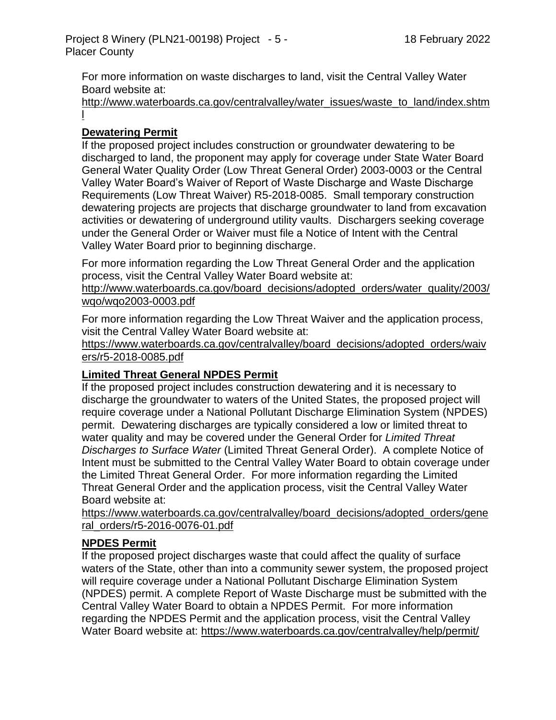For more information on waste discharges to land, visit the Central Valley Water Board website at:

http://www.waterboards.ca.gov/centralvalley/water\_issues/waste\_to\_land/index.shtm l

## **Dewatering Permit**

If the proposed project includes construction or groundwater dewatering to be discharged to land, the proponent may apply for coverage under State Water Board General Water Quality Order (Low Threat General Order) 2003-0003 or the Central Valley Water Board's Waiver of Report of Waste Discharge and Waste Discharge Requirements (Low Threat Waiver) R5-2018-0085. Small temporary construction dewatering projects are projects that discharge groundwater to land from excavation activities or dewatering of underground utility vaults. Dischargers seeking coverage under the General Order or Waiver must file a Notice of Intent with the Central Valley Water Board prior to beginning discharge.

For more information regarding the Low Threat General Order and the application process, visit the Central Valley Water Board website at:

http://www.waterboards.ca.gov/board\_decisions/adopted\_orders/water\_quality/2003/ wqo/wqo2003-0003.pdf

For more information regarding the Low Threat Waiver and the application process, visit the Central Valley Water Board website at:

https://www.waterboards.ca.gov/centralvalley/board\_decisions/adopted\_orders/waiv ers/r5-2018-0085.pdf

## **Limited Threat General NPDES Permit**

If the proposed project includes construction dewatering and it is necessary to discharge the groundwater to waters of the United States, the proposed project will require coverage under a National Pollutant Discharge Elimination System (NPDES) permit. Dewatering discharges are typically considered a low or limited threat to water quality and may be covered under the General Order for *Limited Threat Discharges to Surface Water* (Limited Threat General Order). A complete Notice of Intent must be submitted to the Central Valley Water Board to obtain coverage under the Limited Threat General Order. For more information regarding the Limited Threat General Order and the application process, visit the Central Valley Water Board website at:

https://www.waterboards.ca.gov/centralvalley/board\_decisions/adopted\_orders/gene ral\_orders/r5-2016-0076-01.pdf

# **NPDES Permit**

If the proposed project discharges waste that could affect the quality of surface waters of the State, other than into a community sewer system, the proposed project will require coverage under a National Pollutant Discharge Elimination System (NPDES) permit. A complete Report of Waste Discharge must be submitted with the Central Valley Water Board to obtain a NPDES Permit. For more information regarding the NPDES Permit and the application process, visit the Central Valley Water Board website at: https://www.waterboards.ca.gov/centralvalley/help/permit/